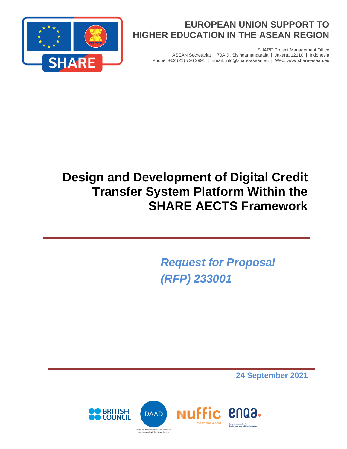

SHARE Project Management Office ASEAN Secretariat | 70A Jl. Sisingamangaraja | Jakarta 12110 | Indonesia Phone: +62 (21) 726 2991 | Email: info@share-asean.eu | Web: www.share-asean.eu



# **Design and Development of Digital Credit Transfer System Platform Within the SHARE AECTS Framework**

*Request for Proposal (RFP) 233001*

**24 September 2021**

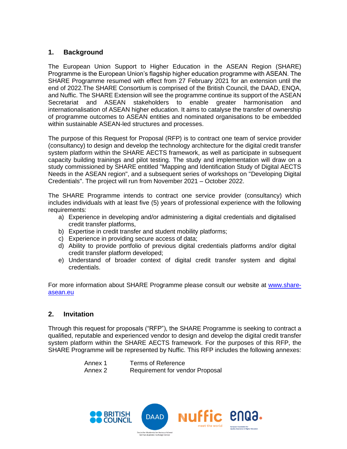## **1. Background**

The European Union Support to Higher Education in the ASEAN Region (SHARE) Programme is the European Union's flagship higher education programme with ASEAN. The SHARE Programme resumed with effect from 27 February 2021 for an extension until the end of 2022.The SHARE Consortium is comprised of the British Council, the DAAD, ENQA, and Nuffic. The SHARE Extension will see the programme continue its support of the ASEAN Secretariat and ASEAN stakeholders to enable greater harmonisation and internationalisation of ASEAN higher education. It aims to catalyse the transfer of ownership of programme outcomes to ASEAN entities and nominated organisations to be embedded within sustainable ASEAN-led structures and processes.

The purpose of this Request for Proposal (RFP) is to contract one team of service provider (consultancy) to design and develop the technology architecture for the digital credit transfer system platform within the SHARE AECTS framework, as well as participate in subsequent capacity building trainings and pilot testing. The study and implementation will draw on a study commissioned by SHARE entitled "Mapping and Identification Study of Digital AECTS Needs in the ASEAN region", and a subsequent series of workshops on "Developing Digital Credentials". The project will run from November 2021 – October 2022.

The SHARE Programme intends to contract one service provider (consultancy) which includes individuals with at least five (5) years of professional experience with the following requirements:

- a) Experience in developing and/or administering a digital credentials and digitalised credit transfer platforms,
- b) Expertise in credit transfer and student mobility platforms;
- c) Experience in providing secure access of data;
- d) Ability to provide portfolio of previous digital credentials platforms and/or digital credit transfer platform developed;
- e) Understand of broader context of digital credit transfer system and digital credentials.

For more information about SHARE Programme please consult our website at [www.share](https://www.share-asean.eu/)[asean.eu](https://www.share-asean.eu/)

#### **2. Invitation**

Through this request for proposals ("RFP"), the SHARE Programme is seeking to contract a qualified, reputable and experienced vendor to design and develop the digital credit transfer system platform within the SHARE AECTS framework. For the purposes of this RFP, the SHARE Programme will be represented by Nuffic. This RFP includes the following annexes:

| Annex 1 | <b>Terms of Reference</b>       |
|---------|---------------------------------|
| Annex 2 | Requirement for vendor Proposal |

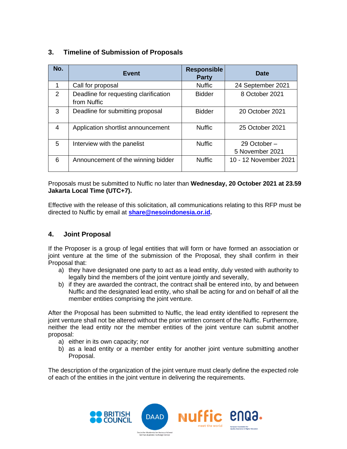| No. | <b>Event</b>                                         | <b>Responsible</b><br><b>Party</b> | <b>Date</b>                     |
|-----|------------------------------------------------------|------------------------------------|---------------------------------|
| 1   | Call for proposal                                    | <b>Nuffic</b>                      | 24 September 2021               |
| 2   | Deadline for requesting clarification<br>from Nuffic | <b>Bidder</b>                      | 8 October 2021                  |
| 3   | Deadline for submitting proposal                     | <b>Bidder</b>                      | 20 October 2021                 |
| 4   | Application shortlist announcement                   | <b>Nuffic</b>                      | 25 October 2021                 |
| 5   | Interview with the panelist                          | <b>Nuffic</b>                      | 29 October –<br>5 November 2021 |
| 6   | Announcement of the winning bidder                   | <b>Nuffic</b>                      | 10 - 12 November 2021           |

# **3. Timeline of Submission of Proposals**

Proposals must be submitted to Nuffic no later than **Wednesday, 20 October 2021 at 23.59 Jakarta Local Time (UTC+7).**

Effective with the release of this solicitation, all communications relating to this RFP must be directed to Nuffic by email at **[share@nesoindonesia.or.id.](mailto:share@nesoindonesia.or.id)**

## **4. Joint Proposal**

If the Proposer is a group of legal entities that will form or have formed an association or joint venture at the time of the submission of the Proposal, they shall confirm in their Proposal that:

- a) they have designated one party to act as a lead entity, duly vested with authority to legally bind the members of the joint venture jointly and severally,
- b) if they are awarded the contract, the contract shall be entered into, by and between Nuffic and the designated lead entity, who shall be acting for and on behalf of all the member entities comprising the joint venture.

After the Proposal has been submitted to Nuffic, the lead entity identified to represent the joint venture shall not be altered without the prior written consent of the Nuffic. Furthermore, neither the lead entity nor the member entities of the joint venture can submit another proposal:

- a) either in its own capacity; nor
- b) as a lead entity or a member entity for another joint venture submitting another Proposal.

The description of the organization of the joint venture must clearly define the expected role of each of the entities in the joint venture in delivering the requirements.

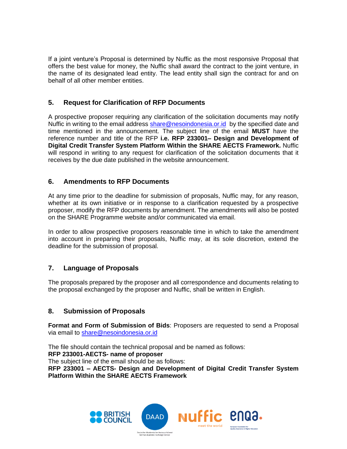If a joint venture's Proposal is determined by Nuffic as the most responsive Proposal that offers the best value for money, the Nuffic shall award the contract to the joint venture, in the name of its designated lead entity. The lead entity shall sign the contract for and on behalf of all other member entities.

# **5. Request for Clarification of RFP Documents**

A prospective proposer requiring any clarification of the solicitation documents may notify Nuffic in writing to the email address [share@nesoindonesia.or.id](mailto:share@nesoindonesia.or.id) by the specified date and time mentioned in the announcement. The subject line of the email **MUST** have the reference number and title of the RFP **i.e. RFP 233001– Design and Development of Digital Credit Transfer System Platform Within the SHARE AECTS Framework.** Nuffic will respond in writing to any request for clarification of the solicitation documents that it receives by the due date published in the website announcement.

# **6. Amendments to RFP Documents**

At any time prior to the deadline for submission of proposals, Nuffic may, for any reason, whether at its own initiative or in response to a clarification requested by a prospective proposer, modify the RFP documents by amendment. The amendments will also be posted on the SHARE Programme website and/or communicated via email.

In order to allow prospective proposers reasonable time in which to take the amendment into account in preparing their proposals, Nuffic may, at its sole discretion, extend the deadline for the submission of proposal.

# **7. Language of Proposals**

The proposals prepared by the proposer and all correspondence and documents relating to the proposal exchanged by the proposer and Nuffic, shall be written in English.

## **8. Submission of Proposals**

**Format and Form of Submission of Bids**: Proposers are requested to send a Proposal via email to [share@nesoindonesia.or.id](mailto:share@nesoindonesia.or.id)

The file should contain the technical proposal and be named as follows: **RFP 233001-AECTS- name of proposer** The subject line of the email should be as follows: **RFP 233001 – AECTS- Design and Development of Digital Credit Transfer System Platform Within the SHARE AECTS Framework**

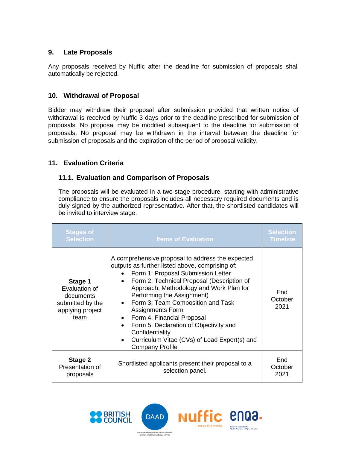## **9. Late Proposals**

Any proposals received by Nuffic after the deadline for submission of proposals shall automatically be rejected.

## **10. Withdrawal of Proposal**

Bidder may withdraw their proposal after submission provided that written notice of withdrawal is received by Nuffic 3 days prior to the deadline prescribed for submission of proposals. No proposal may be modified subsequent to the deadline for submission of proposals. No proposal may be withdrawn in the interval between the deadline for submission of proposals and the expiration of the period of proposal validity.

## **11. Evaluation Criteria**

#### **11.1. Evaluation and Comparison of Proposals**

The proposals will be evaluated in a two-stage procedure, starting with administrative compliance to ensure the proposals includes all necessary required documents and is duly signed by the authorized representative. After that, the shortlisted candidates will be invited to interview stage.

| <b>Stages of</b><br><b>Selection</b>                                                  | <b>Items of Evaluation</b>                                                                                                                                                                                                                                                                                                                                                                                                                                                                                                      | <b>Selection</b><br><b>Timeline</b> |
|---------------------------------------------------------------------------------------|---------------------------------------------------------------------------------------------------------------------------------------------------------------------------------------------------------------------------------------------------------------------------------------------------------------------------------------------------------------------------------------------------------------------------------------------------------------------------------------------------------------------------------|-------------------------------------|
| Stage 1<br>Evaluation of<br>documents<br>submitted by the<br>applying project<br>team | A comprehensive proposal to address the expected<br>outputs as further listed above, comprising of:<br>Form 1: Proposal Submission Letter<br>Form 2: Technical Proposal (Description of<br>$\bullet$<br>Approach, Methodology and Work Plan for<br>Performing the Assignment)<br>Form 3: Team Composition and Task<br><b>Assignments Form</b><br>Form 4: Financial Proposal<br>Form 5: Declaration of Objectivity and<br>$\bullet$<br>Confidentiality<br>Curriculum Vitae (CVs) of Lead Expert(s) and<br><b>Company Profile</b> | End<br>October<br>2021              |
| Stage 2<br>Presentation of<br>proposals                                               | Shortlisted applicants present their proposal to a<br>selection panel.                                                                                                                                                                                                                                                                                                                                                                                                                                                          | End<br>October<br>2021              |

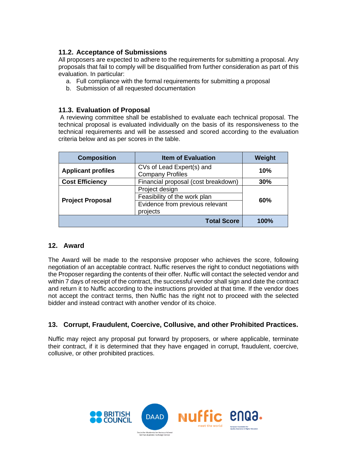# **11.2. Acceptance of Submissions**

All proposers are expected to adhere to the requirements for submitting a proposal. Any proposals that fail to comply will be disqualified from further consideration as part of this evaluation. In particular:

- a. Full compliance with the formal requirements for submitting a proposal
- b. Submission of all requested documentation

## **11.3. Evaluation of Proposal**

A reviewing committee shall be established to evaluate each technical proposal. The technical proposal is evaluated individually on the basis of its responsiveness to the technical requirements and will be assessed and scored according to the evaluation criteria below and as per scores in the table.

| <b>Composition</b>        | <b>Item of Evaluation</b>                            | Weight |  |
|---------------------------|------------------------------------------------------|--------|--|
| <b>Applicant profiles</b> | CVs of Lead Expert(s) and<br><b>Company Profiles</b> | 10%    |  |
| <b>Cost Efficiency</b>    | Financial proposal (cost breakdown)                  | 30%    |  |
|                           | Project design                                       |        |  |
| <b>Project Proposal</b>   | Feasibility of the work plan                         | 60%    |  |
|                           | Evidence from previous relevant                      |        |  |
|                           | projects                                             |        |  |
|                           | <b>Total Score</b>                                   | 100%   |  |

## **12. Award**

The Award will be made to the responsive proposer who achieves the score, following negotiation of an acceptable contract. Nuffic reserves the right to conduct negotiations with the Proposer regarding the contents of their offer. Nuffic will contact the selected vendor and within 7 days of receipt of the contract, the successful vendor shall sign and date the contract and return it to Nuffic according to the instructions provided at that time. If the vendor does not accept the contract terms, then Nuffic has the right not to proceed with the selected bidder and instead contract with another vendor of its choice.

# **13. Corrupt, Fraudulent, Coercive, Collusive, and other Prohibited Practices.**

Nuffic may reject any proposal put forward by proposers, or where applicable, terminate their contract, if it is determined that they have engaged in corrupt, fraudulent, coercive, collusive, or other prohibited practices.